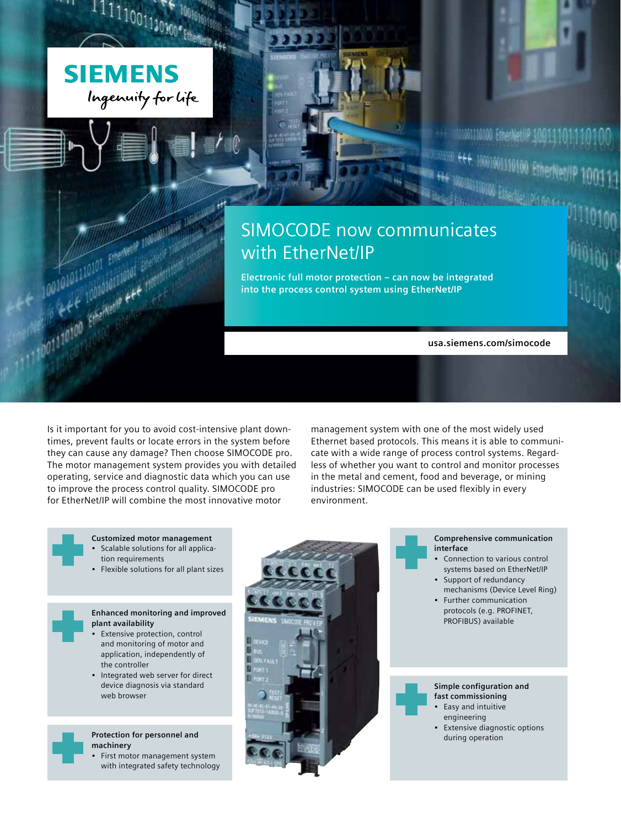

The Referred of the Netterland Contains the Contact of the Netterland Contact of the Netterland Contact of the Contact of the Contact of the Contact of the Contact of the Contact of the Contact of the Contact of the Contac

The May 110101 Emerged P. 100101 P. 110101

## SIMOCODE now communicates with EtherNet/IP

**Electronic full motor protection – can now be integrated into the process control system using EtherNet/IP**

**usa.siemens.com/simocode**

1001110100 EtherNetHP 100

10001001110100 Ether

Is it important for you to avoid cost-intensive plant downtimes, prevent faults or locate errors in the system before they can cause any damage? Then choose SIMOCODE pro. The motor management system provides you with detailed operating, service and diagnostic data which you can use to improve the process control quality. SIMOCODE pro for EtherNet/IP will combine the most innovative motor

management system with one of the most widely used Ethernet based protocols. This means it is able to communicate with a wide range of process control systems. Regardless of whether you want to control and monitor processes in the metal and cement, food and beverage, or mining industries: SIMOCODE can be used flexibly in every environment.

- **Customized motor management** • Scalable solutions for all application requirements
- Flexible solutions for all plant sizes
- **Enhanced monitoring and improved plant availability**
- **Extensive protection, control** and monitoring of motor and application, independently of the controller
- Integrated web server for direct device diagnosis via standard web browser

**Protection for personnel and machinery**

- First motor management system with integrated safety technology
- 
- **Comprehensive communication interface**
- Connection to various control systems based on EtherNet/IP
- Support of redundancy mechanisms (Device Level Ring)
- Further communication protocols (e.g. PROFINET, PROFIBUS) available



- engineering
- Extensive diagnostic options<br>during operation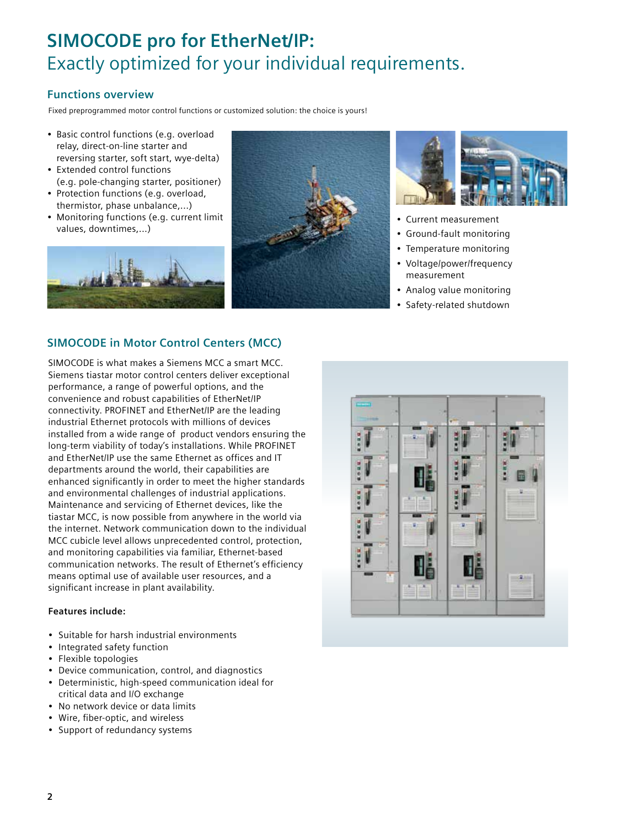# **SIMOCODE pro for EtherNet/IP:**  Exactly optimized for your individual requirements.

### **Functions overview**

Fixed preprogrammed motor control functions or customized solution: the choice is yours!

- Basic control functions (e.g. overload relay, direct-on-line starter and reversing starter, soft start, wye-delta)
- Extended control functions (e.g. pole-changing starter, positioner)
- Protection functions (e.g. overload, thermistor, phase unbalance,...)
- Monitoring functions (e.g. current limit values, downtimes,...)







- Current measurement
- Ground-fault monitoring
- Temperature monitoring
- Voltage/power/frequency measurement
- Analog value monitoring
- Safety-related shutdown

## **SIMOCODE in Motor Control Centers (MCC)**

SIMOCODE is what makes a Siemens MCC a smart MCC. Siemens tiastar motor control centers deliver exceptional performance, a range of powerful options, and the convenience and robust capabilities of EtherNet/IP connectivity. PROFINET and EtherNet/IP are the leading industrial Ethernet protocols with millions of devices installed from a wide range of product vendors ensuring the long-term viability of today's installations. While PROFINET and EtherNet/IP use the same Ethernet as offices and IT departments around the world, their capabilities are enhanced significantly in order to meet the higher standards and environmental challenges of industrial applications. Maintenance and servicing of Ethernet devices, like the tiastar MCC, is now possible from anywhere in the world via the internet. Network communication down to the individual MCC cubicle level allows unprecedented control, protection, and monitoring capabilities via familiar, Ethernet-based communication networks. The result of Ethernet's efficiency means optimal use of available user resources, and a significant increase in plant availability.

#### **Features include:**

- Suitable for harsh industrial environments
- Integrated safety function
- Flexible topologies
- Device communication, control, and diagnostics
- Deterministic, high-speed communication ideal for critical data and I/O exchange
- No network device or data limits
- Wire, fiber-optic, and wireless
- Support of redundancy systems

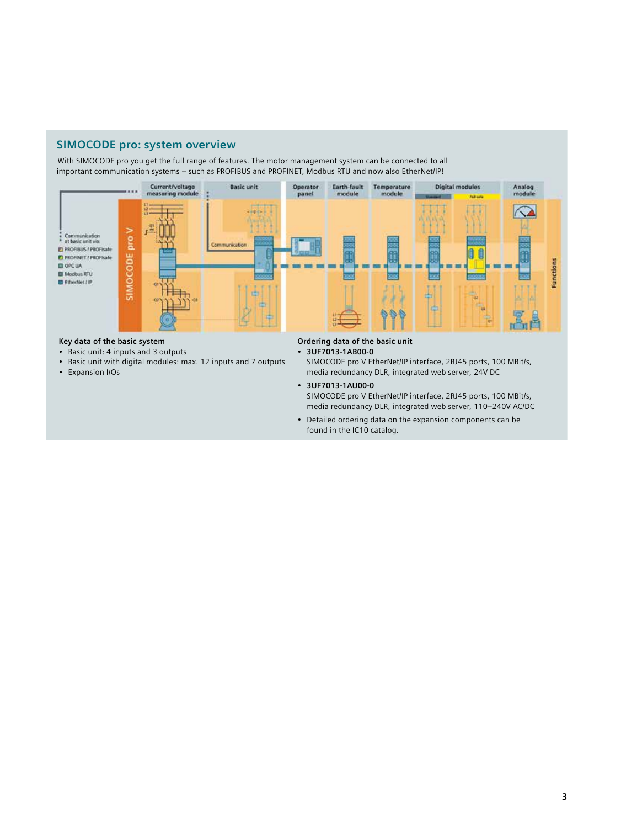### **SIMOCODE pro: system overview**

With SIMOCODE pro you get the full range of features. The motor management system can be connected to all important communication systems – such as PROFIBUS and PROFINET, Modbus RTU and now also EtherNet/IP!



#### **Key data of the basic system**

- Basic unit: 4 inputs and 3 outputs
- Basic unit with digital modules: max. 12 inputs and 7 outputs
- Expansion I/Os

**Ordering data of the basic unit**

• **3UF7013-1AB00-0**

SIMOCODE pro V EtherNet/IP interface, 2RJ45 ports, 100 MBit/s, media redundancy DLR, integrated web server, 24V DC

• **3UF7013-1AU00-0** SIMOCODE pro V EtherNet/IP interface, 2RJ45 ports, 100 MBit/s, media redundancy DLR, integrated web server, 110–240V AC/DC

• Detailed ordering data on the expansion components can be found in the IC10 catalog.